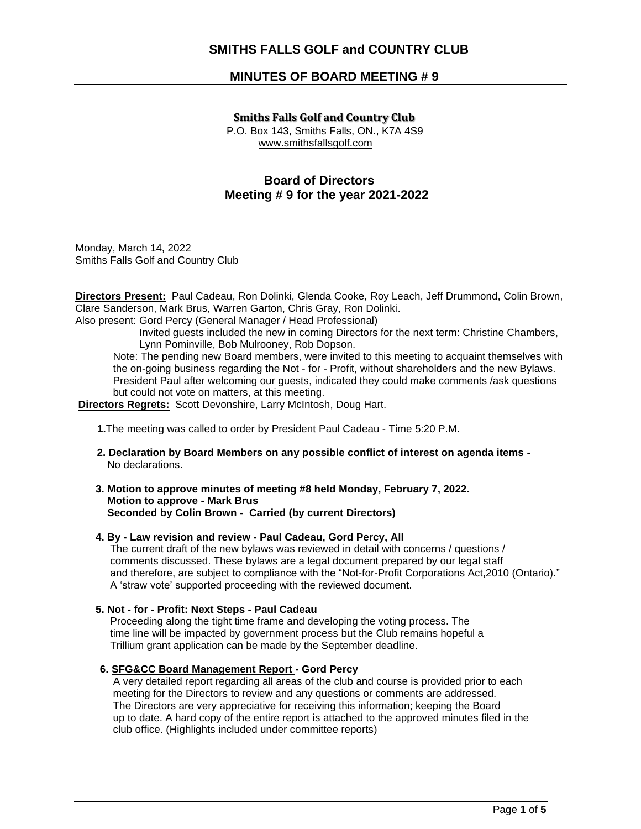## **SMITHS FALLS GOLF and COUNTRY CLUB**

## **MINUTES OF BOARD MEETING # 9**

#### **Smiths Falls Golf and Country Club**

 P.O. Box 143, Smiths Falls, ON., K7A 4S9 www.smithsfallsgolf.com

# **Board of Directors Meeting # 9 for the year 2021-2022**

Monday, March 14, 2022 Smiths Falls Golf and Country Club

**Directors Present:** Paul Cadeau, Ron Dolinki, Glenda Cooke, Roy Leach, Jeff Drummond, Colin Brown, Clare Sanderson, Mark Brus, Warren Garton, Chris Gray, Ron Dolinki.

Also present: Gord Percy (General Manager / Head Professional)

 Invited guests included the new in coming Directors for the next term: Christine Chambers, Lynn Pominville, Bob Mulrooney, Rob Dopson.

Note: The pending new Board members, were invited to this meeting to acquaint themselves with the on-going business regarding the Not - for - Profit, without shareholders and the new Bylaws. President Paul after welcoming our guests, indicated they could make comments /ask questions but could not vote on matters, at this meeting.

**Directors Regrets:** Scott Devonshire, Larry McIntosh, Doug Hart.

#### **1.**The meeting was called to order by President Paul Cadeau - Time 5:20 P.M.

- **2. Declaration by Board Members on any possible conflict of interest on agenda items** No declarations.
- **3. Motion to approve minutes of meeting #8 held Monday, February 7, 2022. Motion to approve - Mark Brus Seconded by Colin Brown - Carried (by current Directors)**

### **4. By - Law revision and review - Paul Cadeau, Gord Percy, All**

The current draft of the new bylaws was reviewed in detail with concerns / questions / comments discussed. These bylaws are a legal document prepared by our legal staff and therefore, are subject to compliance with the "Not-for-Profit Corporations Act,2010 (Ontario)." A 'straw vote' supported proceeding with the reviewed document.

#### **5. Not - for - Profit: Next Steps - Paul Cadeau**

Proceeding along the tight time frame and developing the voting process. The time line will be impacted by government process but the Club remains hopeful a Trillium grant application can be made by the September deadline.

#### **6. SFG&CC Board Management Report - Gord Percy**

 A very detailed report regarding all areas of the club and course is provided prior to each meeting for the Directors to review and any questions or comments are addressed. The Directors are very appreciative for receiving this information; keeping the Board up to date. A hard copy of the entire report is attached to the approved minutes filed in the club office. (Highlights included under committee reports)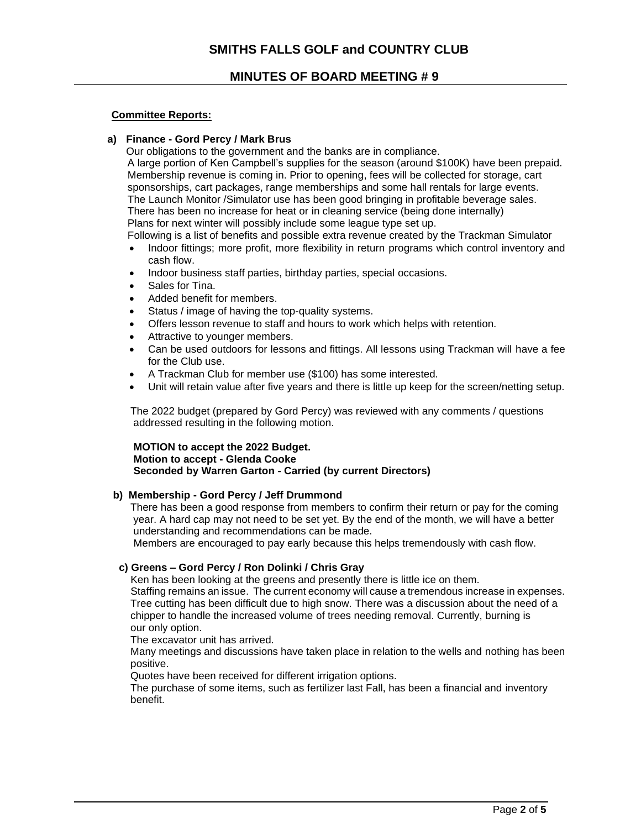## **Committee Reports:**

### **a) Finance - Gord Percy / Mark Brus**

Our obligations to the government and the banks are in compliance.

A large portion of Ken Campbell's supplies for the season (around \$100K) have been prepaid. Membership revenue is coming in. Prior to opening, fees will be collected for storage, cart sponsorships, cart packages, range memberships and some hall rentals for large events. The Launch Monitor /Simulator use has been good bringing in profitable beverage sales. There has been no increase for heat or in cleaning service (being done internally) Plans for next winter will possibly include some league type set up.

Following is a list of benefits and possible extra revenue created by the Trackman Simulator

- Indoor fittings; more profit, more flexibility in return programs which control inventory and cash flow.
- Indoor business staff parties, birthday parties, special occasions.
- Sales for Tina.
- Added benefit for members.
- Status / image of having the top-quality systems.
- Offers lesson revenue to staff and hours to work which helps with retention.
- Attractive to younger members.
- Can be used outdoors for lessons and fittings. All lessons using Trackman will have a fee for the Club use.
- A Trackman Club for member use (\$100) has some interested.
- Unit will retain value after five years and there is little up keep for the screen/netting setup.

 The 2022 budget (prepared by Gord Percy) was reviewed with any comments / questions addressed resulting in the following motion.

### **MOTION to accept the 2022 Budget. Motion to accept - Glenda Cooke Seconded by Warren Garton - Carried (by current Directors)**

#### **b) Membership - Gord Percy / Jeff Drummond**

 There has been a good response from members to confirm their return or pay for the coming year. A hard cap may not need to be set yet. By the end of the month, we will have a better understanding and recommendations can be made.

Members are encouraged to pay early because this helps tremendously with cash flow.

### **c) Greens – Gord Percy / Ron Dolinki / Chris Gray**

Ken has been looking at the greens and presently there is little ice on them.

 Staffing remains an issue. The current economy will cause a tremendous increase in expenses. Tree cutting has been difficult due to high snow. There was a discussion about the need of a chipper to handle the increased volume of trees needing removal. Currently, burning is our only option.

The excavator unit has arrived.

 Many meetings and discussions have taken place in relation to the wells and nothing has been positive.

Quotes have been received for different irrigation options.

 The purchase of some items, such as fertilizer last Fall, has been a financial and inventory benefit.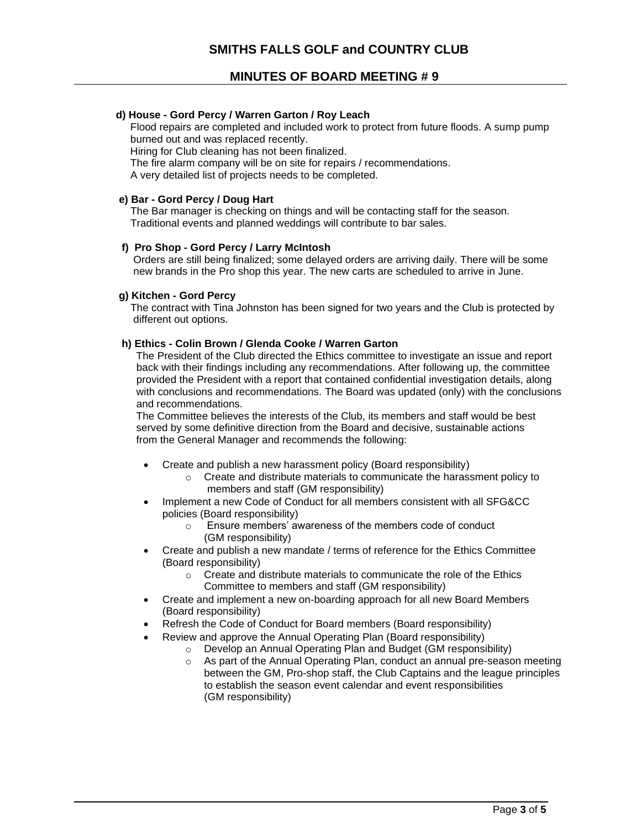## **MINUTES OF BOARD MEETING # 9**

## **d) House - Gord Percy / Warren Garton / Roy Leach**

Flood repairs are completed and included work to protect from future floods. A sump pump burned out and was replaced recently.

Hiring for Club cleaning has not been finalized.

The fire alarm company will be on site for repairs / recommendations.

A very detailed list of projects needs to be completed.

#### **e) Bar - Gord Percy / Doug Hart**

 The Bar manager is checking on things and will be contacting staff for the season. Traditional events and planned weddings will contribute to bar sales.

#### **f) Pro Shop - Gord Percy / Larry McIntosh**

Orders are still being finalized; some delayed orders are arriving daily. There will be some new brands in the Pro shop this year. The new carts are scheduled to arrive in June.

#### **g) Kitchen - Gord Percy**

 The contract with Tina Johnston has been signed for two years and the Club is protected by different out options.

#### **h) Ethics - Colin Brown / Glenda Cooke / Warren Garton**

 The President of the Club directed the Ethics committee to investigate an issue and report back with their findings including any recommendations. After following up, the committee provided the President with a report that contained confidential investigation details, along with conclusions and recommendations. The Board was updated (only) with the conclusions and recommendations.

 The Committee believes the interests of the Club, its members and staff would be best served by some definitive direction from the Board and decisive, sustainable actions from the General Manager and recommends the following:

- Create and publish a new harassment policy (Board responsibility)
	- o Create and distribute materials to communicate the harassment policy to members and staff (GM responsibility)
- Implement a new Code of Conduct for all members consistent with all SFG&CC policies (Board responsibility)
	- o Ensure members' awareness of the members code of conduct (GM responsibility)
- Create and publish a new mandate / terms of reference for the Ethics Committee (Board responsibility)
	- $\circ$  Create and distribute materials to communicate the role of the Ethics Committee to members and staff (GM responsibility)
- Create and implement a new on-boarding approach for all new Board Members (Board responsibility)
- Refresh the Code of Conduct for Board members (Board responsibility)
- Review and approve the Annual Operating Plan (Board responsibility)
	- o Develop an Annual Operating Plan and Budget (GM responsibility)
		- o As part of the Annual Operating Plan, conduct an annual pre-season meeting between the GM, Pro-shop staff, the Club Captains and the league principles to establish the season event calendar and event responsibilities (GM responsibility)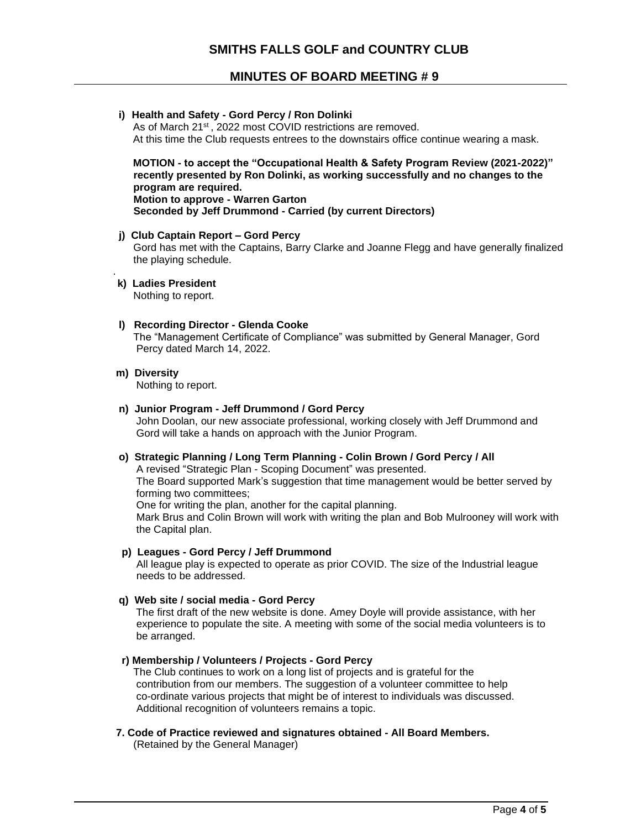# **MINUTES OF BOARD MEETING # 9**

| i) Health and Safety - Gord Percy / Ron Dolinki<br>As of March 21 <sup>st</sup> , 2022 most COVID restrictions are removed.<br>At this time the Club requests entrees to the downstairs office continue wearing a mask.                                                                                                                                                                                                                          |
|--------------------------------------------------------------------------------------------------------------------------------------------------------------------------------------------------------------------------------------------------------------------------------------------------------------------------------------------------------------------------------------------------------------------------------------------------|
| MOTION - to accept the "Occupational Health & Safety Program Review (2021-2022)"<br>recently presented by Ron Dolinki, as working successfully and no changes to the<br>program are required.<br><b>Motion to approve - Warren Garton</b><br>Seconded by Jeff Drummond - Carried (by current Directors)                                                                                                                                          |
| j) Club Captain Report - Gord Percy<br>Gord has met with the Captains, Barry Clarke and Joanne Flegg and have generally finalized<br>the playing schedule.                                                                                                                                                                                                                                                                                       |
| k) Ladies President<br>Nothing to report.                                                                                                                                                                                                                                                                                                                                                                                                        |
| I) Recording Director - Glenda Cooke<br>The "Management Certificate of Compliance" was submitted by General Manager, Gord<br>Percy dated March 14, 2022.                                                                                                                                                                                                                                                                                         |
| m) Diversity<br>Nothing to report.                                                                                                                                                                                                                                                                                                                                                                                                               |
| n) Junior Program - Jeff Drummond / Gord Percy<br>John Doolan, our new associate professional, working closely with Jeff Drummond and<br>Gord will take a hands on approach with the Junior Program.                                                                                                                                                                                                                                             |
| o) Strategic Planning / Long Term Planning - Colin Brown / Gord Percy / All<br>A revised "Strategic Plan - Scoping Document" was presented.<br>The Board supported Mark's suggestion that time management would be better served by<br>forming two committees;<br>One for writing the plan, another for the capital planning.<br>Mark Brus and Colin Brown will work with writing the plan and Bob Mulrooney will work with<br>the Capital plan. |
| p) Leagues - Gord Percy / Jeff Drummond<br>All league play is expected to operate as prior COVID. The size of the Industrial league<br>needs to be addressed.                                                                                                                                                                                                                                                                                    |
| q) Web site / social media - Gord Percy<br>The first draft of the new website is done. Amey Doyle will provide assistance, with her<br>experience to populate the site. A meeting with some of the social media volunteers is to<br>be arranged.                                                                                                                                                                                                 |
| r) Membership / Volunteers / Projects - Gord Percy                                                                                                                                                                                                                                                                                                                                                                                               |

The Club continues to work on a long list of projects and is grateful for the contribution from our members. The suggestion of a volunteer committee to help co-ordinate various projects that might be of interest to individuals was discussed. Additional recognition of volunteers remains a topic.

 **7. Code of Practice reviewed and signatures obtained - All Board Members.** (Retained by the General Manager)